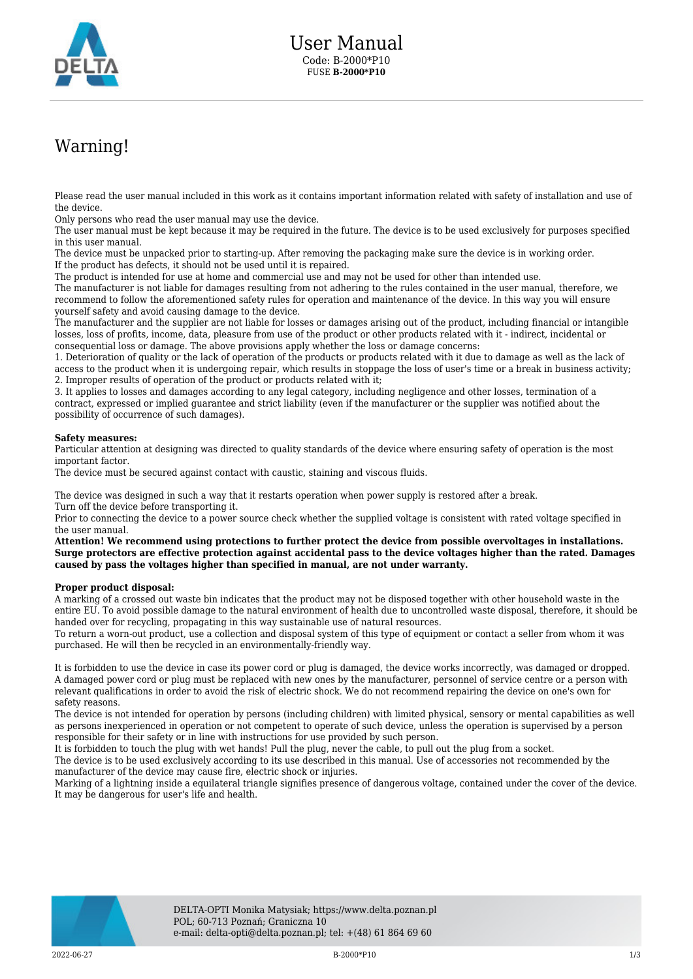

## Warning!

Please read the user manual included in this work as it contains important information related with safety of installation and use of the device.

Only persons who read the user manual may use the device.

The user manual must be kept because it may be required in the future. The device is to be used exclusively for purposes specified in this user manual.

The device must be unpacked prior to starting-up. After removing the packaging make sure the device is in working order. If the product has defects, it should not be used until it is repaired.

The product is intended for use at home and commercial use and may not be used for other than intended use.

The manufacturer is not liable for damages resulting from not adhering to the rules contained in the user manual, therefore, we recommend to follow the aforementioned safety rules for operation and maintenance of the device. In this way you will ensure yourself safety and avoid causing damage to the device.

The manufacturer and the supplier are not liable for losses or damages arising out of the product, including financial or intangible losses, loss of profits, income, data, pleasure from use of the product or other products related with it - indirect, incidental or consequential loss or damage. The above provisions apply whether the loss or damage concerns:

1. Deterioration of quality or the lack of operation of the products or products related with it due to damage as well as the lack of access to the product when it is undergoing repair, which results in stoppage the loss of user's time or a break in business activity; 2. Improper results of operation of the product or products related with it;

3. It applies to losses and damages according to any legal category, including negligence and other losses, termination of a contract, expressed or implied guarantee and strict liability (even if the manufacturer or the supplier was notified about the possibility of occurrence of such damages).

## **Safety measures:**

Particular attention at designing was directed to quality standards of the device where ensuring safety of operation is the most important factor.

The device must be secured against contact with caustic, staining and viscous fluids.

The device was designed in such a way that it restarts operation when power supply is restored after a break. Turn off the device before transporting it.

Prior to connecting the device to a power source check whether the supplied voltage is consistent with rated voltage specified in the user manual.

**Attention! We recommend using protections to further protect the device from possible overvoltages in installations. Surge protectors are effective protection against accidental pass to the device voltages higher than the rated. Damages caused by pass the voltages higher than specified in manual, are not under warranty.**

## **Proper product disposal:**

A marking of a crossed out waste bin indicates that the product may not be disposed together with other household waste in the entire EU. To avoid possible damage to the natural environment of health due to uncontrolled waste disposal, therefore, it should be handed over for recycling, propagating in this way sustainable use of natural resources.

To return a worn-out product, use a collection and disposal system of this type of equipment or contact a seller from whom it was purchased. He will then be recycled in an environmentally-friendly way.

It is forbidden to use the device in case its power cord or plug is damaged, the device works incorrectly, was damaged or dropped. A damaged power cord or plug must be replaced with new ones by the manufacturer, personnel of service centre or a person with relevant qualifications in order to avoid the risk of electric shock. We do not recommend repairing the device on one's own for safety reasons.

The device is not intended for operation by persons (including children) with limited physical, sensory or mental capabilities as well as persons inexperienced in operation or not competent to operate of such device, unless the operation is supervised by a person responsible for their safety or in line with instructions for use provided by such person.

It is forbidden to touch the plug with wet hands! Pull the plug, never the cable, to pull out the plug from a socket.

The device is to be used exclusively according to its use described in this manual. Use of accessories not recommended by the manufacturer of the device may cause fire, electric shock or injuries.

Marking of a lightning inside a equilateral triangle signifies presence of dangerous voltage, contained under the cover of the device. It may be dangerous for user's life and health.

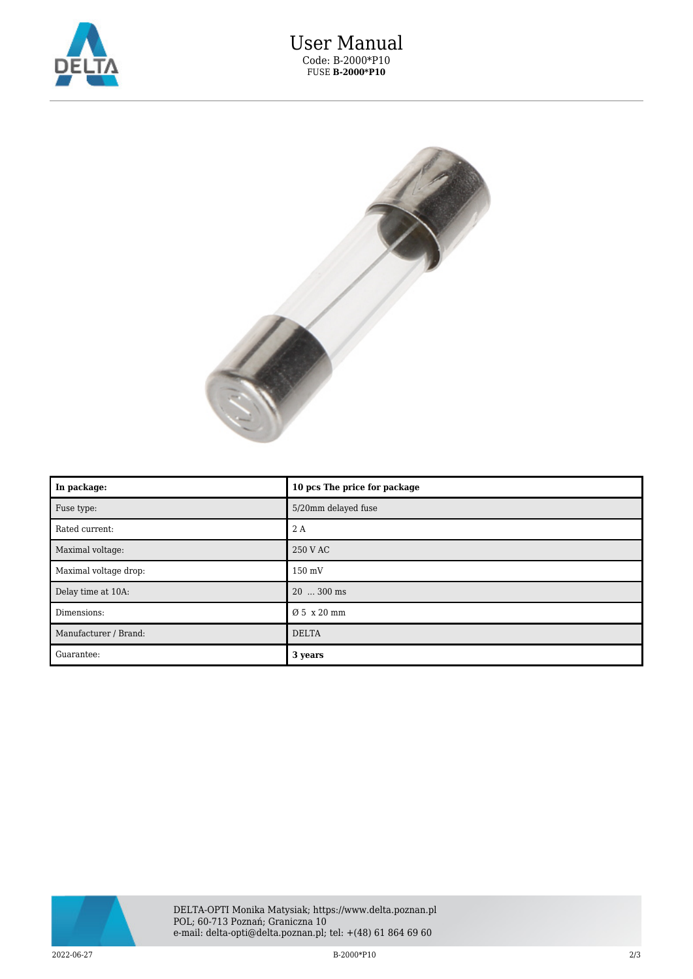



| In package:           | 10 pcs The price for package |
|-----------------------|------------------------------|
| Fuse type:            | 5/20mm delayed fuse          |
| Rated current:        | 2 A                          |
| Maximal voltage:      | 250 V AC                     |
| Maximal voltage drop: | 150 mV                       |
| Delay time at 10A:    | 20  300 ms                   |
| Dimensions:           | Ø 5 x 20 mm                  |
| Manufacturer / Brand: | <b>DELTA</b>                 |
| Guarantee:            | 3 years                      |



 $2022-06-27$   $B-2000*P10$   $2/3$